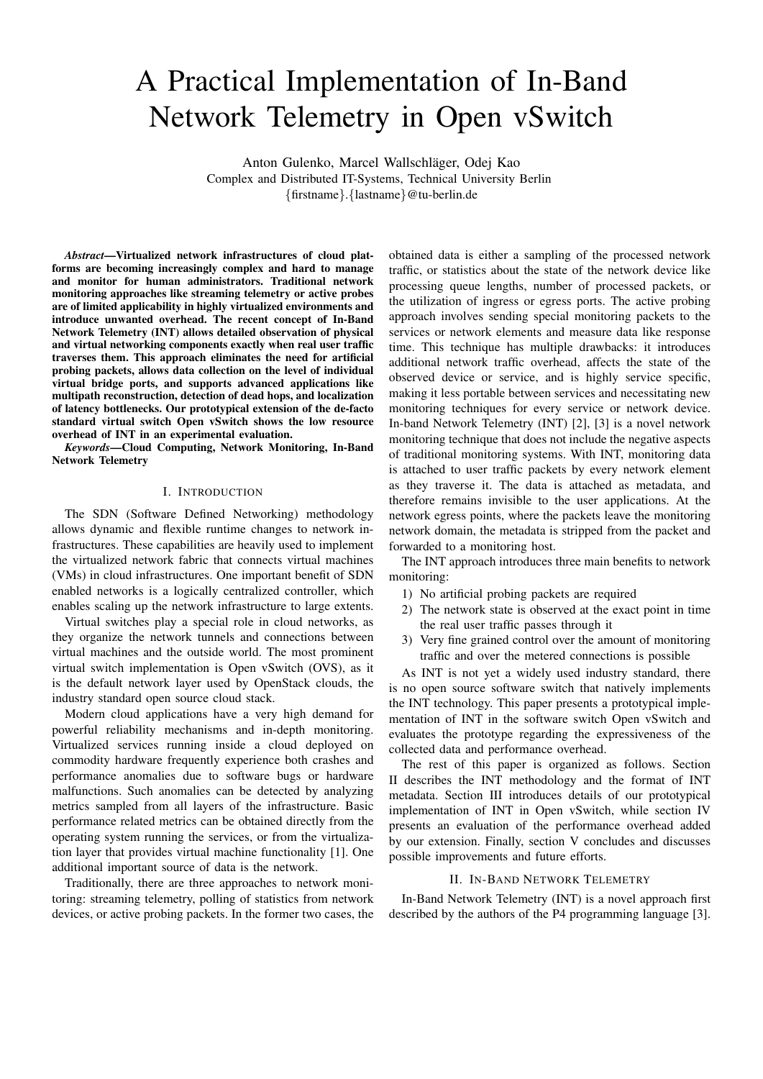# A Practical Implementation of In-Band Network Telemetry in Open vSwitch

Anton Gulenko, Marcel Wallschlager, Odej Kao ¨

Complex and Distributed IT-Systems, Technical University Berlin {firstname}.{lastname}@tu-berlin.de

*Abstract*—Virtualized network infrastructures of cloud platforms are becoming increasingly complex and hard to manage and monitor for human administrators. Traditional network monitoring approaches like streaming telemetry or active probes are of limited applicability in highly virtualized environments and introduce unwanted overhead. The recent concept of In-Band Network Telemetry (INT) allows detailed observation of physical and virtual networking components exactly when real user traffic traverses them. This approach eliminates the need for artificial probing packets, allows data collection on the level of individual virtual bridge ports, and supports advanced applications like multipath reconstruction, detection of dead hops, and localization of latency bottlenecks. Our prototypical extension of the de-facto standard virtual switch Open vSwitch shows the low resource overhead of INT in an experimental evaluation.

*Keywords*—Cloud Computing, Network Monitoring, In-Band Network Telemetry

## I. INTRODUCTION

The SDN (Software Defined Networking) methodology allows dynamic and flexible runtime changes to network infrastructures. These capabilities are heavily used to implement the virtualized network fabric that connects virtual machines (VMs) in cloud infrastructures. One important benefit of SDN enabled networks is a logically centralized controller, which enables scaling up the network infrastructure to large extents.

Virtual switches play a special role in cloud networks, as they organize the network tunnels and connections between virtual machines and the outside world. The most prominent virtual switch implementation is Open vSwitch (OVS), as it is the default network layer used by OpenStack clouds, the industry standard open source cloud stack.

Modern cloud applications have a very high demand for powerful reliability mechanisms and in-depth monitoring. Virtualized services running inside a cloud deployed on commodity hardware frequently experience both crashes and performance anomalies due to software bugs or hardware malfunctions. Such anomalies can be detected by analyzing metrics sampled from all layers of the infrastructure. Basic performance related metrics can be obtained directly from the operating system running the services, or from the virtualization layer that provides virtual machine functionality [1]. One additional important source of data is the network.

Traditionally, there are three approaches to network monitoring: streaming telemetry, polling of statistics from network devices, or active probing packets. In the former two cases, the

obtained data is either a sampling of the processed network traffic, or statistics about the state of the network device like processing queue lengths, number of processed packets, or the utilization of ingress or egress ports. The active probing approach involves sending special monitoring packets to the services or network elements and measure data like response time. This technique has multiple drawbacks: it introduces additional network traffic overhead, affects the state of the observed device or service, and is highly service specific, making it less portable between services and necessitating new monitoring techniques for every service or network device. In-band Network Telemetry (INT) [2], [3] is a novel network monitoring technique that does not include the negative aspects of traditional monitoring systems. With INT, monitoring data is attached to user traffic packets by every network element as they traverse it. The data is attached as metadata, and therefore remains invisible to the user applications. At the network egress points, where the packets leave the monitoring network domain, the metadata is stripped from the packet and forwarded to a monitoring host.

The INT approach introduces three main benefits to network monitoring:

- 1) No artificial probing packets are required
- 2) The network state is observed at the exact point in time the real user traffic passes through it
- 3) Very fine grained control over the amount of monitoring traffic and over the metered connections is possible

As INT is not yet a widely used industry standard, there is no open source software switch that natively implements the INT technology. This paper presents a prototypical implementation of INT in the software switch Open vSwitch and evaluates the prototype regarding the expressiveness of the collected data and performance overhead.

The rest of this paper is organized as follows. Section II describes the INT methodology and the format of INT metadata. Section III introduces details of our prototypical implementation of INT in Open vSwitch, while section IV presents an evaluation of the performance overhead added by our extension. Finally, section V concludes and discusses possible improvements and future efforts.

## II. IN-BAND NETWORK TELEMETRY

In-Band Network Telemetry (INT) is a novel approach first described by the authors of the P4 programming language [3].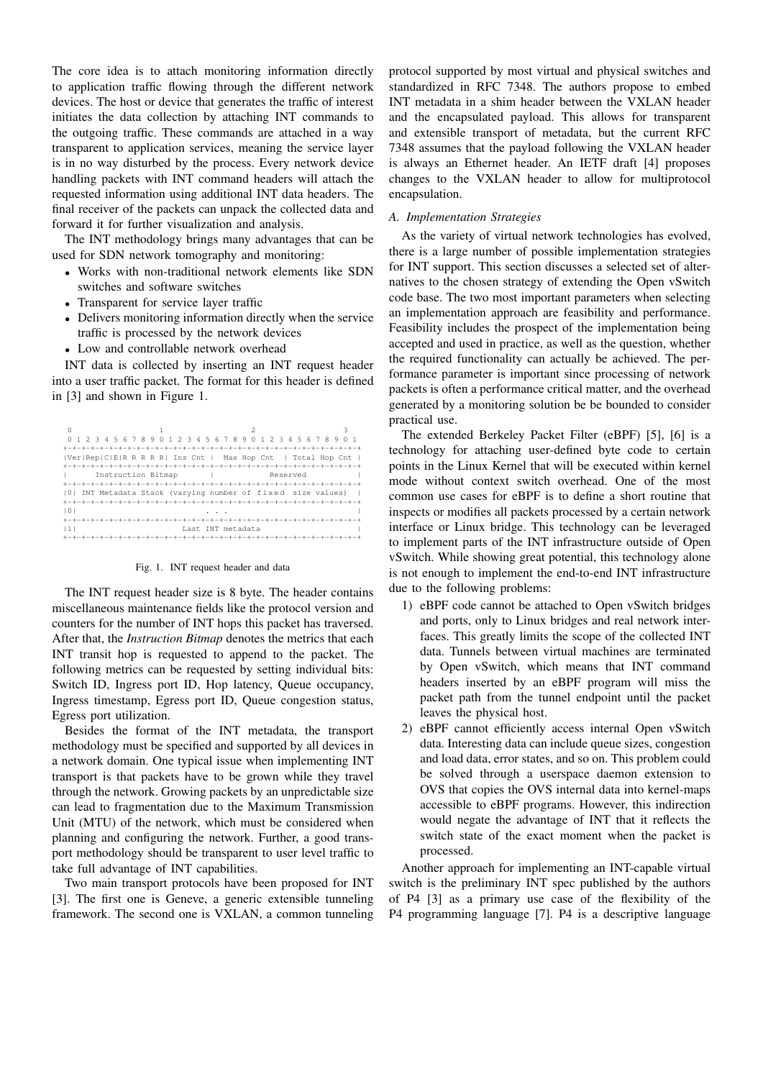The core idea is to attach monitoring information directly to application traffic flowing through the different network devices. The host or device that generates the traffic of interest initiates the data collection by attaching INT commands to the outgoing traffic. These commands are attached in a way transparent to application services, meaning the service layer is in no way disturbed by the process. Every network device handling packets with INT command headers will attach the requested information using additional INT data headers. The final receiver of the packets can unpack the collected data and forward it for further visualization and analysis.

The INT methodology brings many advantages that can be used for SDN network tomography and monitoring:

- Works with non-traditional network elements like SDN switches and software switches
- Transparent for service layer traffic
- Delivers monitoring information directly when the service traffic is processed by the network devices
- Low and controllable network overhead

INT data is collected by inserting an INT request header into a user traffic packet. The format for this header is defined in [3] and shown in Figure 1.

| 0 1 2 3 4 5 6 7 8 9 0 1 2 3 4 5 6 7 8 9 0 1 2 3 4 5 6 7 8 9 0 1  |  |  |  |
|------------------------------------------------------------------|--|--|--|
|                                                                  |  |  |  |
| Ver Rep C E R R R R R  Ins Cnt   Max Hop Cnt   Total Hop Cnt     |  |  |  |
|                                                                  |  |  |  |
| Instruction Bitmap<br>Reserved<br>the property of the control of |  |  |  |
|                                                                  |  |  |  |
| [0] INT Metadata Stack (varying number of fixed size values)     |  |  |  |
|                                                                  |  |  |  |
| $\overline{0}$                                                   |  |  |  |
|                                                                  |  |  |  |
| 111<br>Last INT metadata                                         |  |  |  |
|                                                                  |  |  |  |

### Fig. 1. INT request header and data

The INT request header size is 8 byte. The header contains miscellaneous maintenance fields like the protocol version and counters for the number of INT hops this packet has traversed. After that, the *Instruction Bitmap* denotes the metrics that each INT transit hop is requested to append to the packet. The following metrics can be requested by setting individual bits: Switch ID, Ingress port ID, Hop latency, Queue occupancy, Ingress timestamp, Egress port ID, Queue congestion status, Egress port utilization.

Besides the format of the INT metadata, the transport methodology must be specified and supported by all devices in a network domain. One typical issue when implementing INT transport is that packets have to be grown while they travel through the network. Growing packets by an unpredictable size can lead to fragmentation due to the Maximum Transmission Unit (MTU) of the network, which must be considered when planning and configuring the network. Further, a good transport methodology should be transparent to user level traffic to take full advantage of INT capabilities.

Two main transport protocols have been proposed for INT [3]. The first one is Geneve, a generic extensible tunneling framework. The second one is VXLAN, a common tunneling protocol supported by most virtual and physical switches and standardized in RFC 7348. The authors propose to embed INT metadata in a shim header between the VXLAN header and the encapsulated payload. This allows for transparent and extensible transport of metadata, but the current RFC 7348 assumes that the payload following the VXLAN header is always an Ethernet header. An IETF draft [4] proposes changes to the VXLAN header to allow for multiprotocol encapsulation.

## *A. Implementation Strategies*

As the variety of virtual network technologies has evolved, there is a large number of possible implementation strategies for INT support. This section discusses a selected set of alternatives to the chosen strategy of extending the Open vSwitch code base. The two most important parameters when selecting an implementation approach are feasibility and performance. Feasibility includes the prospect of the implementation being accepted and used in practice, as well as the question, whether the required functionality can actually be achieved. The performance parameter is important since processing of network packets is often a performance critical matter, and the overhead generated by a monitoring solution be be bounded to consider practical use.

The extended Berkeley Packet Filter (eBPF) [5], [6] is a technology for attaching user-defined byte code to certain points in the Linux Kernel that will be executed within kernel mode without context switch overhead. One of the most common use cases for eBPF is to define a short routine that inspects or modifies all packets processed by a certain network interface or Linux bridge. This technology can be leveraged to implement parts of the INT infrastructure outside of Open vSwitch. While showing great potential, this technology alone is not enough to implement the end-to-end INT infrastructure due to the following problems:

- 1) eBPF code cannot be attached to Open vSwitch bridges and ports, only to Linux bridges and real network interfaces. This greatly limits the scope of the collected INT data. Tunnels between virtual machines are terminated by Open vSwitch, which means that INT command headers inserted by an eBPF program will miss the packet path from the tunnel endpoint until the packet leaves the physical host.
- 2) eBPF cannot efficiently access internal Open vSwitch data. Interesting data can include queue sizes, congestion and load data, error states, and so on. This problem could be solved through a userspace daemon extension to OVS that copies the OVS internal data into kernel-maps accessible to eBPF programs. However, this indirection would negate the advantage of INT that it reflects the switch state of the exact moment when the packet is processed.

Another approach for implementing an INT-capable virtual switch is the preliminary INT spec published by the authors of P4 [3] as a primary use case of the flexibility of the P4 programming language [7]. P4 is a descriptive language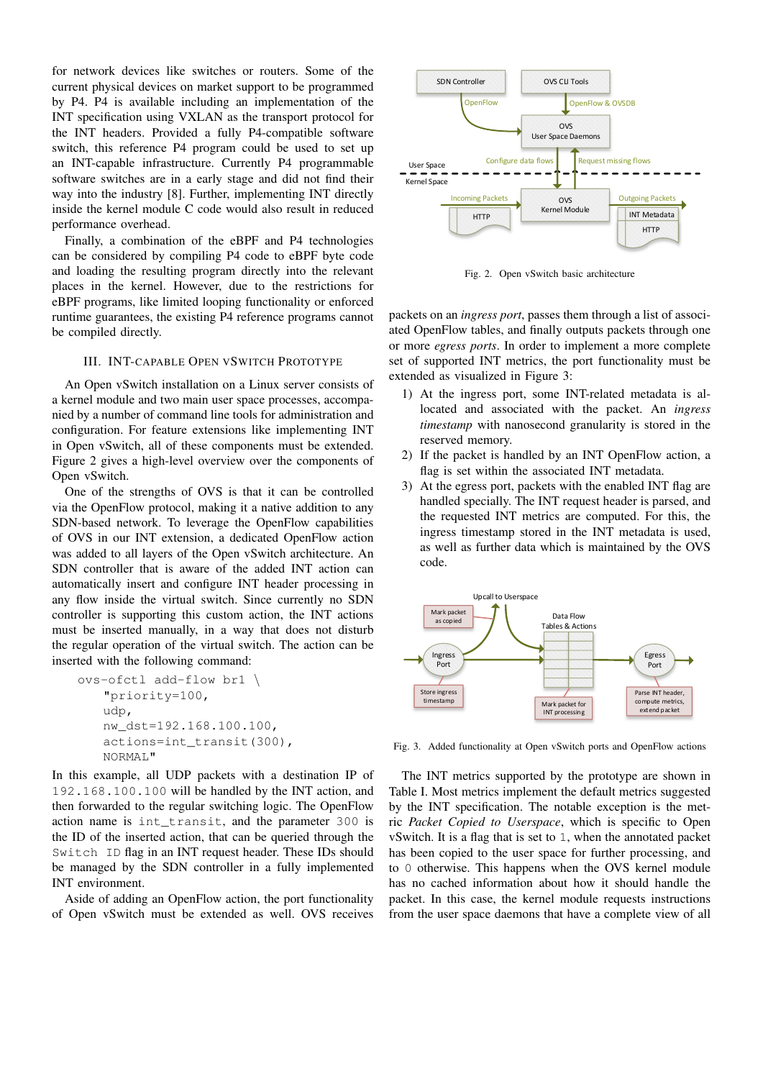for network devices like switches or routers. Some of the current physical devices on market support to be programmed by P4. P4 is available including an implementation of the INT specification using VXLAN as the transport protocol for the INT headers. Provided a fully P4-compatible software switch, this reference P4 program could be used to set up an INT-capable infrastructure. Currently P4 programmable software switches are in a early stage and did not find their way into the industry [8]. Further, implementing INT directly inside the kernel module C code would also result in reduced performance overhead.

Finally, a combination of the eBPF and P4 technologies can be considered by compiling P4 code to eBPF byte code and loading the resulting program directly into the relevant places in the kernel. However, due to the restrictions for eBPF programs, like limited looping functionality or enforced runtime guarantees, the existing P4 reference programs cannot be compiled directly.

## III. INT-CAPABLE OPEN VSWITCH PROTOTYPE

An Open vSwitch installation on a Linux server consists of a kernel module and two main user space processes, accompanied by a number of command line tools for administration and configuration. For feature extensions like implementing INT in Open vSwitch, all of these components must be extended. Figure 2 gives a high-level overview over the components of Open vSwitch.

One of the strengths of OVS is that it can be controlled via the OpenFlow protocol, making it a native addition to any SDN-based network. To leverage the OpenFlow capabilities of OVS in our INT extension, a dedicated OpenFlow action was added to all layers of the Open vSwitch architecture. An SDN controller that is aware of the added INT action can automatically insert and configure INT header processing in any flow inside the virtual switch. Since currently no SDN controller is supporting this custom action, the INT actions must be inserted manually, in a way that does not disturb the regular operation of the virtual switch. The action can be inserted with the following command:

```
ovs-ofctl add-flow br1 \
"priority=100,
udp,
nw_dst=192.168.100.100,
actions=int_transit(300),
NORMAL"
```
In this example, all UDP packets with a destination IP of 192.168.100.100 will be handled by the INT action, and then forwarded to the regular switching logic. The OpenFlow action name is int\_transit, and the parameter 300 is the ID of the inserted action, that can be queried through the Switch ID flag in an INT request header. These IDs should be managed by the SDN controller in a fully implemented INT environment.

Aside of adding an OpenFlow action, the port functionality of Open vSwitch must be extended as well. OVS receives



Fig. 2. Open vSwitch basic architecture

packets on an *ingress port*, passes them through a list of associated OpenFlow tables, and finally outputs packets through one or more *egress ports*. In order to implement a more complete set of supported INT metrics, the port functionality must be extended as visualized in Figure 3:

- 1) At the ingress port, some INT-related metadata is allocated and associated with the packet. An *ingress timestamp* with nanosecond granularity is stored in the reserved memory.
- 2) If the packet is handled by an INT OpenFlow action, a flag is set within the associated INT metadata.
- 3) At the egress port, packets with the enabled INT flag are handled specially. The INT request header is parsed, and the requested INT metrics are computed. For this, the ingress timestamp stored in the INT metadata is used, as well as further data which is maintained by the OVS code.



Fig. 3. Added functionality at Open vSwitch ports and OpenFlow actions

The INT metrics supported by the prototype are shown in Table I. Most metrics implement the default metrics suggested by the INT specification. The notable exception is the metric *Packet Copied to Userspace*, which is specific to Open vSwitch. It is a flag that is set to 1, when the annotated packet has been copied to the user space for further processing, and to 0 otherwise. This happens when the OVS kernel module has no cached information about how it should handle the packet. In this case, the kernel module requests instructions from the user space daemons that have a complete view of all